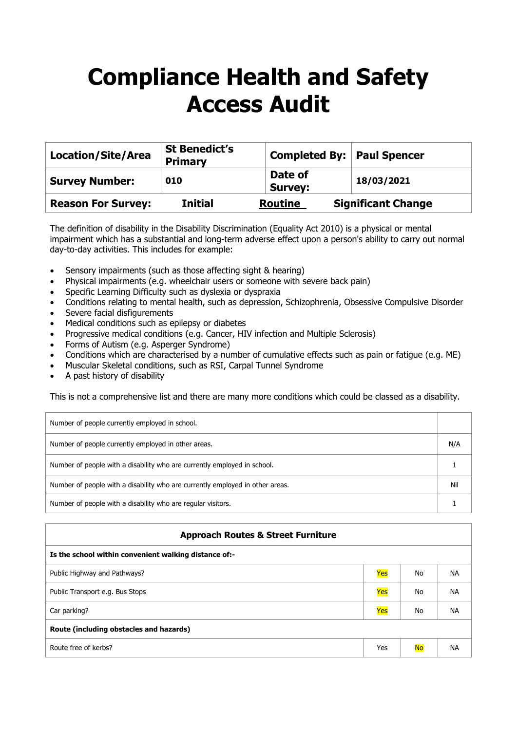## **Compliance Health and Safety Access Audit**

| <b>Location/Site/Area</b> | <b>St Benedict's</b><br><b>Primary</b> | <b>Completed By: Paul Spencer</b> |                           |
|---------------------------|----------------------------------------|-----------------------------------|---------------------------|
| <b>Survey Number:</b>     | 010                                    | Date of<br><b>Survey:</b>         | 18/03/2021                |
| <b>Reason For Survey:</b> | <b>Initial</b>                         | <b>Routine</b>                    | <b>Significant Change</b> |

The definition of disability in the Disability Discrimination (Equality Act 2010) is a physical or mental impairment which has a substantial and long-term adverse effect upon a person's ability to carry out normal day-to-day activities. This includes for example:

- Sensory impairments (such as those affecting sight & hearing)
- Physical impairments (e.g. wheelchair users or someone with severe back pain)
- Specific Learning Difficulty such as dyslexia or dyspraxia
- Conditions relating to mental health, such as depression, Schizophrenia, Obsessive Compulsive Disorder
- Severe facial disfigurements
- Medical conditions such as epilepsy or diabetes
- Progressive medical conditions (e.g. Cancer, HIV infection and Multiple Sclerosis)
- Forms of Autism (e.g. Asperger Syndrome)
- Conditions which are characterised by a number of cumulative effects such as pain or fatigue (e.g. ME)
- Muscular Skeletal conditions, such as RSI, Carpal Tunnel Syndrome
- A past history of disability

This is not a comprehensive list and there are many more conditions which could be classed as a disability.

| Number of people currently employed in school.                                |     |
|-------------------------------------------------------------------------------|-----|
| Number of people currently employed in other areas.                           | N/A |
| Number of people with a disability who are currently employed in school.      |     |
| Number of people with a disability who are currently employed in other areas. | Nil |
| Number of people with a disability who are regular visitors.                  |     |

## **Approach Routes & Street Furniture**

| Is the school within convenient walking distance of:- |     |           |           |  |
|-------------------------------------------------------|-----|-----------|-----------|--|
| Public Highway and Pathways?                          | Yes | No        | <b>NA</b> |  |
| Public Transport e.g. Bus Stops                       | Yes | No        | <b>NA</b> |  |
| Car parking?                                          | Yes | No        | <b>NA</b> |  |
| Route (including obstacles and hazards)               |     |           |           |  |
| Route free of kerbs?                                  | Yes | <b>No</b> | <b>NA</b> |  |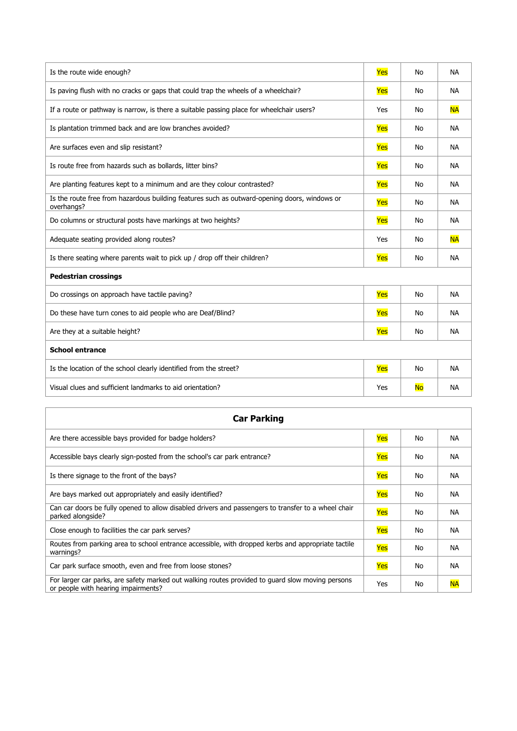| Is the route wide enough?                                                                                  | Yes | No        | <b>NA</b> |
|------------------------------------------------------------------------------------------------------------|-----|-----------|-----------|
| Is paving flush with no cracks or gaps that could trap the wheels of a wheelchair?                         | Yes | No        | <b>NA</b> |
| If a route or pathway is narrow, is there a suitable passing place for wheelchair users?                   | Yes | <b>No</b> | <b>NA</b> |
| Is plantation trimmed back and are low branches avoided?                                                   | Yes | No        | <b>NA</b> |
| Are surfaces even and slip resistant?                                                                      | Yes | No        | <b>NA</b> |
| Is route free from hazards such as bollards, litter bins?                                                  | Yes | <b>No</b> | <b>NA</b> |
| Are planting features kept to a minimum and are they colour contrasted?                                    | Yes | No        | <b>NA</b> |
| Is the route free from hazardous building features such as outward-opening doors, windows or<br>overhangs? | Yes | No        | <b>NA</b> |
| Do columns or structural posts have markings at two heights?                                               | Yes | No        | <b>NA</b> |
| Adequate seating provided along routes?                                                                    | Yes | No        | <b>NA</b> |
| Is there seating where parents wait to pick up / drop off their children?                                  | Yes | <b>No</b> | <b>NA</b> |
| <b>Pedestrian crossings</b>                                                                                |     |           |           |
| Do crossings on approach have tactile paving?                                                              | Yes | No        | <b>NA</b> |
| Do these have turn cones to aid people who are Deaf/Blind?                                                 | Yes | <b>No</b> | <b>NA</b> |
| Are they at a suitable height?                                                                             | Yes | No        | <b>NA</b> |
| <b>School entrance</b>                                                                                     |     |           |           |
| Is the location of the school clearly identified from the street?                                          | Yes | No        | <b>NA</b> |
| Visual clues and sufficient landmarks to aid orientation?                                                  | Yes | <b>No</b> | <b>NA</b> |

| <b>Car Parking</b>                                                                                                                      |     |    |           |
|-----------------------------------------------------------------------------------------------------------------------------------------|-----|----|-----------|
| Are there accessible bays provided for badge holders?                                                                                   | Yes | No | <b>NA</b> |
| Accessible bays clearly sign-posted from the school's car park entrance?                                                                | Yes | No | <b>NA</b> |
| Is there signage to the front of the bays?                                                                                              | Yes | No | <b>NA</b> |
| Are bays marked out appropriately and easily identified?                                                                                | Yes | No | <b>NA</b> |
| Can car doors be fully opened to allow disabled drivers and passengers to transfer to a wheel chair<br>parked alongside?                | Yes | No | <b>NA</b> |
| Close enough to facilities the car park serves?                                                                                         | Yes | No | <b>NA</b> |
| Routes from parking area to school entrance accessible, with dropped kerbs and appropriate tactile<br>warnings?                         | Yes | No | <b>NA</b> |
| Car park surface smooth, even and free from loose stones?                                                                               | Yes | No | <b>NA</b> |
| For larger car parks, are safety marked out walking routes provided to guard slow moving persons<br>or people with hearing impairments? | Yes | No | <b>NA</b> |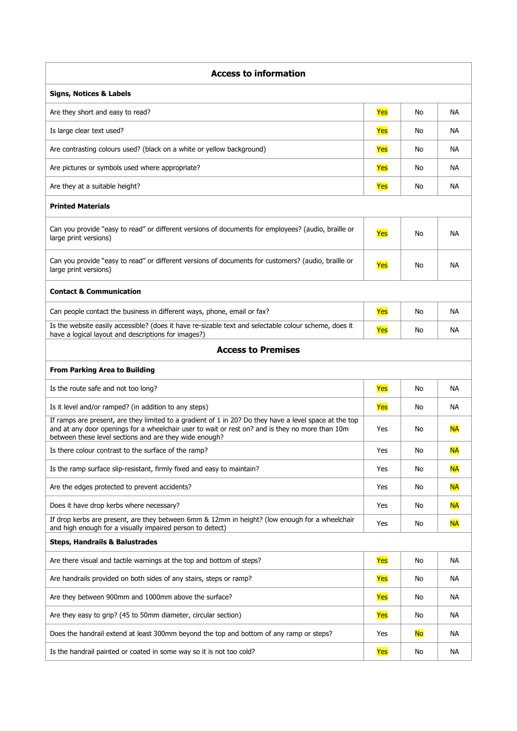| <b>Access to information</b>                                                                                                                                                                                                                                        |     |           |           |
|---------------------------------------------------------------------------------------------------------------------------------------------------------------------------------------------------------------------------------------------------------------------|-----|-----------|-----------|
| <b>Signs, Notices &amp; Labels</b>                                                                                                                                                                                                                                  |     |           |           |
| Are they short and easy to read?                                                                                                                                                                                                                                    | Yes | No        | NA.       |
| Is large clear text used?                                                                                                                                                                                                                                           | Yes | No        | <b>NA</b> |
| Are contrasting colours used? (black on a white or yellow background)                                                                                                                                                                                               | Yes | No        | <b>NA</b> |
| Are pictures or symbols used where appropriate?                                                                                                                                                                                                                     | Yes | No        | <b>NA</b> |
| Are they at a suitable height?                                                                                                                                                                                                                                      | Yes | No        | <b>NA</b> |
| <b>Printed Materials</b>                                                                                                                                                                                                                                            |     |           |           |
| Can you provide "easy to read" or different versions of documents for employees? (audio, braille or<br>large print versions)                                                                                                                                        | Yes | No        | <b>NA</b> |
| Can you provide "easy to read" or different versions of documents for customers? (audio, braille or<br>large print versions)                                                                                                                                        | Yes | No        | <b>NA</b> |
| <b>Contact &amp; Communication</b>                                                                                                                                                                                                                                  |     |           |           |
| Can people contact the business in different ways, phone, email or fax?                                                                                                                                                                                             | Yes | No        | NA.       |
| Is the website easily accessible? (does it have re-sizable text and selectable colour scheme, does it<br>have a logical layout and descriptions for images?)                                                                                                        | Yes | No        | <b>NA</b> |
| <b>Access to Premises</b>                                                                                                                                                                                                                                           |     |           |           |
| <b>From Parking Area to Building</b>                                                                                                                                                                                                                                |     |           |           |
| Is the route safe and not too long?                                                                                                                                                                                                                                 | Yes | No        | <b>NA</b> |
| Is it level and/or ramped? (in addition to any steps)                                                                                                                                                                                                               | Yes | No        | <b>NA</b> |
| If ramps are present, are they limited to a gradient of 1 in 20? Do they have a level space at the top<br>and at any door openings for a wheelchair user to wait or rest on? and is they no more than 10m<br>between these level sections and are they wide enough? | Yes | No        | <b>NA</b> |
| Is there colour contrast to the surface of the ramp?                                                                                                                                                                                                                | Yes | No        | <b>NA</b> |
| Is the ramp surface slip-resistant, firmly fixed and easy to maintain?                                                                                                                                                                                              | Yes | No        | <b>NA</b> |
| Are the edges protected to prevent accidents?                                                                                                                                                                                                                       | Yes | No        | <b>NA</b> |
| Does it have drop kerbs where necessary?                                                                                                                                                                                                                            | Yes | No        | <b>NA</b> |
| If drop kerbs are present, are they between 6mm & 12mm in height? (low enough for a wheelchair<br>and high enough for a visually impaired person to detect)                                                                                                         | Yes | No        | <b>NA</b> |
| <b>Steps, Handrails &amp; Balustrades</b>                                                                                                                                                                                                                           |     |           |           |
| Are there visual and tactile warnings at the top and bottom of steps?                                                                                                                                                                                               | Yes | No        | NА        |
| Are handrails provided on both sides of any stairs, steps or ramp?                                                                                                                                                                                                  | Yes | No        | <b>NA</b> |
| Are they between 900mm and 1000mm above the surface?                                                                                                                                                                                                                | Yes | No        | NА        |
| Are they easy to grip? (45 to 50mm diameter, circular section)                                                                                                                                                                                                      | Yes | No        | NА        |
| Does the handrail extend at least 300mm beyond the top and bottom of any ramp or steps?                                                                                                                                                                             | Yes | <b>No</b> | NА        |
| Is the handrail painted or coated in some way so it is not too cold?                                                                                                                                                                                                | Yes | No        | NА        |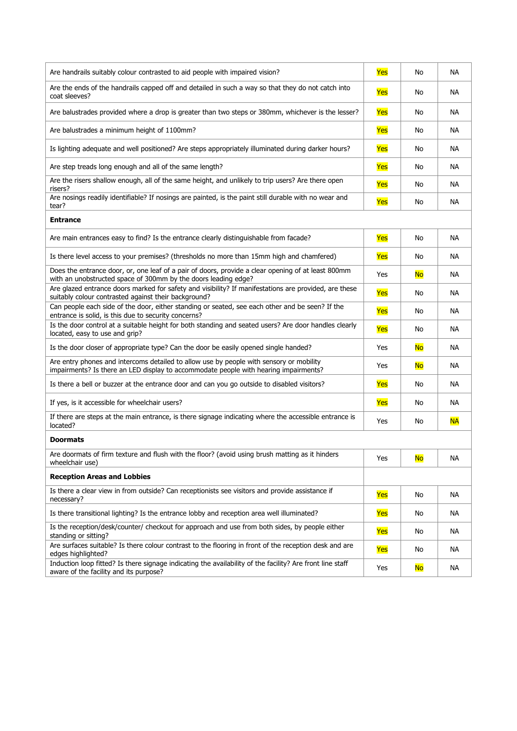| Are handrails suitably colour contrasted to aid people with impaired vision?                                                                                                    | Yes | No        | <b>NA</b> |
|---------------------------------------------------------------------------------------------------------------------------------------------------------------------------------|-----|-----------|-----------|
| Are the ends of the handrails capped off and detailed in such a way so that they do not catch into<br>coat sleeves?                                                             | Yes | No        | NА        |
| Are balustrades provided where a drop is greater than two steps or 380mm, whichever is the lesser?                                                                              | Yes | No        | <b>NA</b> |
| Are balustrades a minimum height of 1100mm?                                                                                                                                     | Yes | No        | <b>NA</b> |
| Is lighting adequate and well positioned? Are steps appropriately illuminated during darker hours?                                                                              | Yes | No        | <b>NA</b> |
| Are step treads long enough and all of the same length?                                                                                                                         | Yes | No        | <b>NA</b> |
| Are the risers shallow enough, all of the same height, and unlikely to trip users? Are there open<br>risers?                                                                    | Yes | No        | <b>NA</b> |
| Are nosings readily identifiable? If nosings are painted, is the paint still durable with no wear and<br>tear?                                                                  | Yes | No        | <b>NA</b> |
| <b>Entrance</b>                                                                                                                                                                 |     |           |           |
| Are main entrances easy to find? Is the entrance clearly distinguishable from facade?                                                                                           | Yes | No        | <b>NA</b> |
| Is there level access to your premises? (thresholds no more than 15mm high and chamfered)                                                                                       | Yes | No        | <b>NA</b> |
| Does the entrance door, or, one leaf of a pair of doors, provide a clear opening of at least 800mm<br>with an unobstructed space of 300mm by the doors leading edge?            | Yes | <b>No</b> | <b>NA</b> |
| Are glazed entrance doors marked for safety and visibility? If manifestations are provided, are these<br>suitably colour contrasted against their background?                   | Yes | No        | <b>NA</b> |
| Can people each side of the door, either standing or seated, see each other and be seen? If the<br>entrance is solid, is this due to security concerns?                         | Yes | No        | <b>NA</b> |
| Is the door control at a suitable height for both standing and seated users? Are door handles clearly<br>located, easy to use and grip?                                         | Yes | No        | <b>NA</b> |
| Is the door closer of appropriate type? Can the door be easily opened single handed?                                                                                            | Yes | <b>No</b> | <b>NA</b> |
| Are entry phones and intercoms detailed to allow use by people with sensory or mobility<br>impairments? Is there an LED display to accommodate people with hearing impairments? | Yes | <b>No</b> | <b>NA</b> |
| Is there a bell or buzzer at the entrance door and can you go outside to disabled visitors?                                                                                     | Yes | No        | <b>NA</b> |
| If yes, is it accessible for wheelchair users?                                                                                                                                  | Yes | No        | <b>NA</b> |
| If there are steps at the main entrance, is there signage indicating where the accessible entrance is<br>located?                                                               | Yes | No        | <b>NA</b> |
| <b>Doormats</b>                                                                                                                                                                 |     |           |           |
| Are doormats of firm texture and flush with the floor? (avoid using brush matting as it hinders<br>wheelchair use)                                                              | Yes | <b>No</b> | NА        |
| <b>Reception Areas and Lobbies</b>                                                                                                                                              |     |           |           |
| Is there a clear view in from outside? Can receptionists see visitors and provide assistance if<br>necessary?                                                                   | Yes | No        | NА        |
| Is there transitional lighting? Is the entrance lobby and reception area well illuminated?                                                                                      | Yes | No        | NА        |
| Is the reception/desk/counter/ checkout for approach and use from both sides, by people either<br>standing or sitting?                                                          | Yes | No        | NА        |
| Are surfaces suitable? Is there colour contrast to the flooring in front of the reception desk and are<br>edges highlighted?                                                    | Yes | No        | NА        |
| Induction loop fitted? Is there signage indicating the availability of the facility? Are front line staff<br>aware of the facility and its purpose?                             | Yes | <b>No</b> | NА        |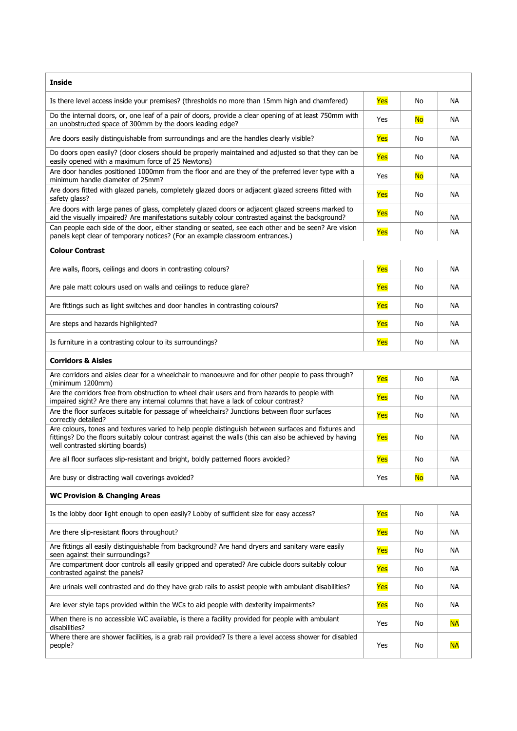| <b>Inside</b>                                                                                                                                                                                                                                      |     |           |           |
|----------------------------------------------------------------------------------------------------------------------------------------------------------------------------------------------------------------------------------------------------|-----|-----------|-----------|
| Is there level access inside your premises? (thresholds no more than 15mm high and chamfered)                                                                                                                                                      | Yes | No        | NA        |
| Do the internal doors, or, one leaf of a pair of doors, provide a clear opening of at least 750mm with<br>an unobstructed space of 300mm by the doors leading edge?                                                                                | Yes | <b>No</b> | NA        |
| Are doors easily distinguishable from surroundings and are the handles clearly visible?                                                                                                                                                            | Yes | No        | NA        |
| Do doors open easily? (door closers should be properly maintained and adjusted so that they can be<br>easily opened with a maximum force of 25 Newtons)                                                                                            | Yes | No        | NА        |
| Are door handles positioned 1000mm from the floor and are they of the preferred lever type with a<br>minimum handle diameter of 25mm?                                                                                                              | Yes | No        | NA        |
| Are doors fitted with glazed panels, completely glazed doors or adjacent glazed screens fitted with<br>safety glass?                                                                                                                               | Yes | No        | <b>NA</b> |
| Are doors with large panes of glass, completely glazed doors or adjacent glazed screens marked to<br>aid the visually impaired? Are manifestations suitably colour contrasted against the background?                                              | Yes | No        | <b>NA</b> |
| Can people each side of the door, either standing or seated, see each other and be seen? Are vision<br>panels kept clear of temporary notices? (For an example classroom entrances.)                                                               | Yes | No        | NA        |
| <b>Colour Contrast</b>                                                                                                                                                                                                                             |     |           |           |
| Are walls, floors, ceilings and doors in contrasting colours?                                                                                                                                                                                      | Yes | No        | NА        |
| Are pale matt colours used on walls and ceilings to reduce glare?                                                                                                                                                                                  | Yes | No        | NA.       |
| Are fittings such as light switches and door handles in contrasting colours?                                                                                                                                                                       | Yes | No        | NA.       |
| Are steps and hazards highlighted?                                                                                                                                                                                                                 | Yes | No        | NА        |
| Is furniture in a contrasting colour to its surroundings?                                                                                                                                                                                          | Yes | No        | NA        |
| <b>Corridors &amp; Aisles</b>                                                                                                                                                                                                                      |     |           |           |
| Are corridors and aisles clear for a wheelchair to manoeuvre and for other people to pass through?<br>(minimum 1200mm)                                                                                                                             | Yes | No        | NA        |
| Are the corridors free from obstruction to wheel chair users and from hazards to people with<br>impaired sight? Are there any internal columns that have a lack of colour contrast?                                                                | Yes | No        | NA.       |
| Are the floor surfaces suitable for passage of wheelchairs? Junctions between floor surfaces<br>correctly detailed?                                                                                                                                | Yes | No        | NA        |
| Are colours, tones and textures varied to help people distinguish between surfaces and fixtures and<br>fittings? Do the floors suitably colour contrast against the walls (this can also be achieved by having<br>well contrasted skirting boards) | Yes | No        | NA        |
| Are all floor surfaces slip-resistant and bright, boldly patterned floors avoided?                                                                                                                                                                 | Yes | No        | <b>NA</b> |
| Are busy or distracting wall coverings avoided?                                                                                                                                                                                                    | Yes | <b>No</b> | NА        |
| <b>WC Provision &amp; Changing Areas</b>                                                                                                                                                                                                           |     |           |           |
| Is the lobby door light enough to open easily? Lobby of sufficient size for easy access?                                                                                                                                                           | Yes | No        | NА        |
| Are there slip-resistant floors throughout?                                                                                                                                                                                                        | Yes | No        | NА        |
| Are fittings all easily distinguishable from background? Are hand dryers and sanitary ware easily<br>seen against their surroundings?                                                                                                              | Yes | No        | NА        |
| Are compartment door controls all easily gripped and operated? Are cubicle doors suitably colour<br>contrasted against the panels?                                                                                                                 | Yes | No        | NА        |
| Are urinals well contrasted and do they have grab rails to assist people with ambulant disabilities?                                                                                                                                               | Yes | No        | NА        |
| Are lever style taps provided within the WCs to aid people with dexterity impairments?                                                                                                                                                             | Yes | No        | NА        |
| When there is no accessible WC available, is there a facility provided for people with ambulant<br>disabilities?                                                                                                                                   | Yes | No        | <b>NA</b> |
| Where there are shower facilities, is a grab rail provided? Is there a level access shower for disabled<br>people?                                                                                                                                 | Yes | No        | <b>NA</b> |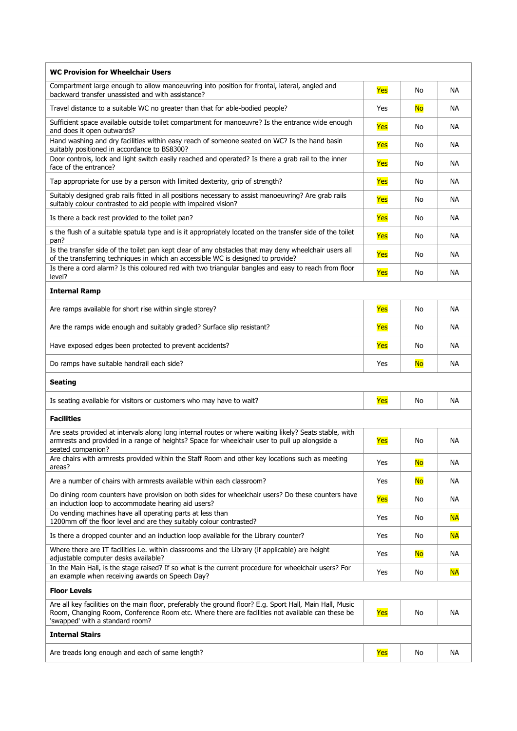| <b>WC Provision for Wheelchair Users</b>                                                                                                                                                                                                       |     |           |           |
|------------------------------------------------------------------------------------------------------------------------------------------------------------------------------------------------------------------------------------------------|-----|-----------|-----------|
| Compartment large enough to allow manoeuvring into position for frontal, lateral, angled and<br>backward transfer unassisted and with assistance?                                                                                              | Yes | No        | <b>NA</b> |
| Travel distance to a suitable WC no greater than that for able-bodied people?                                                                                                                                                                  | Yes | <b>No</b> | <b>NA</b> |
| Sufficient space available outside toilet compartment for manoeuvre? Is the entrance wide enough<br>and does it open outwards?                                                                                                                 | Yes | No        | <b>NA</b> |
| Hand washing and dry facilities within easy reach of someone seated on WC? Is the hand basin<br>suitably positioned in accordance to BS8300?                                                                                                   | Yes | No        | <b>NA</b> |
| Door controls, lock and light switch easily reached and operated? Is there a grab rail to the inner<br>face of the entrance?                                                                                                                   | Yes | No        | <b>NA</b> |
| Tap appropriate for use by a person with limited dexterity, grip of strength?                                                                                                                                                                  | Yes | No        | <b>NA</b> |
| Suitably designed grab rails fitted in all positions necessary to assist manoeuvring? Are grab rails<br>suitably colour contrasted to aid people with impaired vision?                                                                         | Yes | No        | <b>NA</b> |
| Is there a back rest provided to the toilet pan?                                                                                                                                                                                               | Yes | No        | <b>NA</b> |
| s the flush of a suitable spatula type and is it appropriately located on the transfer side of the toilet<br>pan?                                                                                                                              | Yes | No        | <b>NA</b> |
| Is the transfer side of the toilet pan kept clear of any obstacles that may deny wheelchair users all<br>of the transferring techniques in which an accessible WC is designed to provide?                                                      | Yes | No        | <b>NA</b> |
| Is there a cord alarm? Is this coloured red with two triangular bangles and easy to reach from floor<br>level?                                                                                                                                 | Yes | No        | NA.       |
| <b>Internal Ramp</b>                                                                                                                                                                                                                           |     |           |           |
| Are ramps available for short rise within single storey?                                                                                                                                                                                       | Yes | No        | <b>NA</b> |
| Are the ramps wide enough and suitably graded? Surface slip resistant?                                                                                                                                                                         | Yes | No        | NA.       |
| Have exposed edges been protected to prevent accidents?                                                                                                                                                                                        | Yes | No        | NA.       |
| Do ramps have suitable handrail each side?                                                                                                                                                                                                     | Yes | <b>No</b> | NА        |
| <b>Seating</b>                                                                                                                                                                                                                                 |     |           |           |
| Is seating available for visitors or customers who may have to wait?                                                                                                                                                                           | Yes | No        | NА        |
| <b>Facilities</b>                                                                                                                                                                                                                              |     |           |           |
| Are seats provided at intervals along long internal routes or where waiting likely? Seats stable, with<br>armrests and provided in a range of heights? Space for wheelchair user to pull up alongside a<br>seated companion?                   | Yes | No        | ΝA        |
| Are chairs with armrests provided within the Staff Room and other key locations such as meeting<br>areas?                                                                                                                                      | Yes | <b>No</b> | NА        |
| Are a number of chairs with armrests available within each classroom?                                                                                                                                                                          | Yes | <b>No</b> | ΝA        |
| Do dining room counters have provision on both sides for wheelchair users? Do these counters have<br>an induction loop to accommodate hearing aid users?                                                                                       | Yes | No        | <b>NA</b> |
| Do vending machines have all operating parts at less than<br>1200mm off the floor level and are they suitably colour contrasted?                                                                                                               | Yes | No        | <b>NA</b> |
| Is there a dropped counter and an induction loop available for the Library counter?                                                                                                                                                            | Yes | No        | <b>NA</b> |
| Where there are IT facilities i.e. within classrooms and the Library (if applicable) are height<br>adjustable computer desks available?                                                                                                        | Yes | <b>No</b> | ΝA        |
| In the Main Hall, is the stage raised? If so what is the current procedure for wheelchair users? For<br>an example when receiving awards on Speech Day?                                                                                        | Yes | No        | <b>NA</b> |
| <b>Floor Levels</b>                                                                                                                                                                                                                            |     |           |           |
| Are all key facilities on the main floor, preferably the ground floor? E.g. Sport Hall, Main Hall, Music<br>Room, Changing Room, Conference Room etc. Where there are facilities not available can these be<br>'swapped' with a standard room? | Yes | No        | NА        |
| <b>Internal Stairs</b>                                                                                                                                                                                                                         |     |           |           |
| Are treads long enough and each of same length?                                                                                                                                                                                                | Yes | No        | NА        |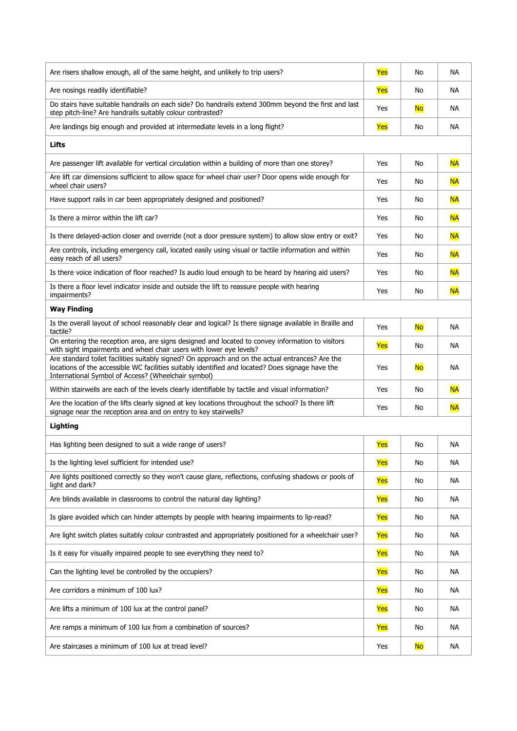| Are risers shallow enough, all of the same height, and unlikely to trip users?                                                                                                                                                                              | Yes | No        | <b>NA</b> |
|-------------------------------------------------------------------------------------------------------------------------------------------------------------------------------------------------------------------------------------------------------------|-----|-----------|-----------|
| Are nosings readily identifiable?                                                                                                                                                                                                                           | Yes | No        | NA        |
| Do stairs have suitable handrails on each side? Do handrails extend 300mm beyond the first and last<br>step pitch-line? Are handrails suitably colour contrasted?                                                                                           | Yes | <b>No</b> | NA        |
| Are landings big enough and provided at intermediate levels in a long flight?                                                                                                                                                                               | Yes | No        | NА        |
| Lifts                                                                                                                                                                                                                                                       |     |           |           |
| Are passenger lift available for vertical circulation within a building of more than one storey?                                                                                                                                                            | Yes | No        | <b>NA</b> |
| Are lift car dimensions sufficient to allow space for wheel chair user? Door opens wide enough for<br>wheel chair users?                                                                                                                                    | Yes | No        | <b>NA</b> |
| Have support rails in car been appropriately designed and positioned?                                                                                                                                                                                       | Yes | No        | <b>NA</b> |
| Is there a mirror within the lift car?                                                                                                                                                                                                                      | Yes | No        | <b>NA</b> |
| Is there delayed-action closer and override (not a door pressure system) to allow slow entry or exit?                                                                                                                                                       | Yes | No        | <b>NA</b> |
| Are controls, including emergency call, located easily using visual or tactile information and within<br>easy reach of all users?                                                                                                                           | Yes | No        | <b>NA</b> |
| Is there voice indication of floor reached? Is audio loud enough to be heard by hearing aid users?                                                                                                                                                          | Yes | No        | <b>NA</b> |
| Is there a floor level indicator inside and outside the lift to reassure people with hearing<br>impairments?                                                                                                                                                | Yes | No        | <b>NA</b> |
| <b>Way Finding</b>                                                                                                                                                                                                                                          |     |           |           |
| Is the overall layout of school reasonably clear and logical? Is there signage available in Braille and<br>tactile?                                                                                                                                         | Yes | <b>No</b> | NА        |
| On entering the reception area, are signs designed and located to convey information to visitors<br>with sight impairments and wheel chair users with lower eye levels?                                                                                     | Yes | No        | NА        |
| Are standard toilet facilities suitably signed? On approach and on the actual entrances? Are the<br>locations of the accessible WC facilities suitably identified and located? Does signage have the<br>International Symbol of Access? (Wheelchair symbol) | Yes | <b>No</b> | <b>NA</b> |
| Within stairwells are each of the levels clearly identifiable by tactile and visual information?                                                                                                                                                            | Yes | No        | <b>NA</b> |
| Are the location of the lifts clearly signed at key locations throughout the school? Is there lift<br>signage near the reception area and on entry to key stairwells?                                                                                       | Yes | No        | <b>NA</b> |
| Lighting                                                                                                                                                                                                                                                    |     |           |           |
| Has lighting been designed to suit a wide range of users?                                                                                                                                                                                                   | Yes | No        | NА        |
| Is the lighting level sufficient for intended use?                                                                                                                                                                                                          | Yes | No        | <b>NA</b> |
| Are lights positioned correctly so they won't cause glare, reflections, confusing shadows or pools of<br>light and dark?                                                                                                                                    | Yes | No        | <b>NA</b> |
| Are blinds available in classrooms to control the natural day lighting?                                                                                                                                                                                     | Yes | No        | NА        |
| Is glare avoided which can hinder attempts by people with hearing impairments to lip-read?                                                                                                                                                                  | Yes | No        | NА        |
| Are light switch plates suitably colour contrasted and appropriately positioned for a wheelchair user?                                                                                                                                                      | Yes | No        | <b>NA</b> |
| Is it easy for visually impaired people to see everything they need to?                                                                                                                                                                                     | Yes | No        | NА        |
| Can the lighting level be controlled by the occupiers?                                                                                                                                                                                                      | Yes | No        | NА        |
| Are corridors a minimum of 100 lux?                                                                                                                                                                                                                         | Yes | No        | NА        |
| Are lifts a minimum of 100 lux at the control panel?                                                                                                                                                                                                        | Yes | No        | NА        |
| Are ramps a minimum of 100 lux from a combination of sources?                                                                                                                                                                                               | Yes | No        | NА        |
| Are staircases a minimum of 100 lux at tread level?                                                                                                                                                                                                         | Yes | <b>No</b> | <b>NA</b> |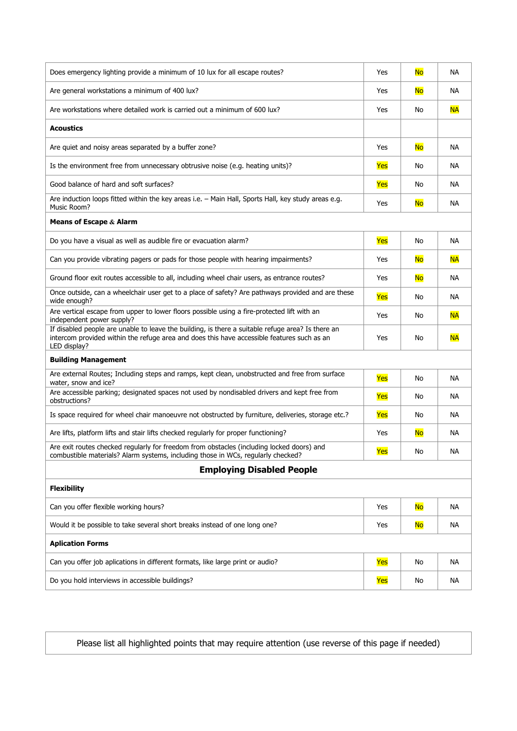| Does emergency lighting provide a minimum of 10 lux for all escape routes?                                                                                                                                      | Yes | <b>No</b> | <b>NA</b> |
|-----------------------------------------------------------------------------------------------------------------------------------------------------------------------------------------------------------------|-----|-----------|-----------|
| Are general workstations a minimum of 400 lux?                                                                                                                                                                  | Yes | <b>No</b> | <b>NA</b> |
| Are workstations where detailed work is carried out a minimum of 600 lux?                                                                                                                                       | Yes | No        | <b>NA</b> |
| <b>Acoustics</b>                                                                                                                                                                                                |     |           |           |
| Are quiet and noisy areas separated by a buffer zone?                                                                                                                                                           | Yes | <b>No</b> | <b>NA</b> |
| Is the environment free from unnecessary obtrusive noise (e.g. heating units)?                                                                                                                                  | Yes | No        | <b>NA</b> |
| Good balance of hard and soft surfaces?                                                                                                                                                                         | Yes | No        | <b>NA</b> |
| Are induction loops fitted within the key areas i.e. - Main Hall, Sports Hall, key study areas e.g.<br>Music Room?                                                                                              | Yes | <b>No</b> | <b>NA</b> |
| Means of Escape $&$ Alarm                                                                                                                                                                                       |     |           |           |
| Do you have a visual as well as audible fire or evacuation alarm?                                                                                                                                               | Yes | No        | <b>NA</b> |
| Can you provide vibrating pagers or pads for those people with hearing impairments?                                                                                                                             | Yes | <b>No</b> | <b>NA</b> |
| Ground floor exit routes accessible to all, including wheel chair users, as entrance routes?                                                                                                                    | Yes | <b>No</b> | <b>NA</b> |
| Once outside, can a wheelchair user get to a place of safety? Are pathways provided and are these<br>wide enough?                                                                                               | Yes | No        | NА        |
| Are vertical escape from upper to lower floors possible using a fire-protected lift with an<br>independent power supply?                                                                                        | Yes | No        | <b>NA</b> |
| If disabled people are unable to leave the building, is there a suitable refuge area? Is there an<br>intercom provided within the refuge area and does this have accessible features such as an<br>LED display? | Yes | No        | <b>NA</b> |
| <b>Building Management</b>                                                                                                                                                                                      |     |           |           |
| Are external Routes; Including steps and ramps, kept clean, unobstructed and free from surface<br>water, snow and ice?                                                                                          | Yes | No        | <b>NA</b> |
| Are accessible parking; designated spaces not used by nondisabled drivers and kept free from<br>obstructions?                                                                                                   | Yes | No        | <b>NA</b> |
| Is space required for wheel chair manoeuvre not obstructed by furniture, deliveries, storage etc.?                                                                                                              | Yes | No        | <b>NA</b> |
| Are lifts, platform lifts and stair lifts checked regularly for proper functioning?                                                                                                                             | Yes | <b>No</b> | <b>NA</b> |
| Are exit routes checked regularly for freedom from obstacles (including locked doors) and<br>combustible materials? Alarm systems, including those in WCs, regularly checked?                                   | Yes | No        | ΝA        |
| <b>Employing Disabled People</b>                                                                                                                                                                                |     |           |           |
| <b>Flexibility</b>                                                                                                                                                                                              |     |           |           |
| Can you offer flexible working hours?                                                                                                                                                                           | Yes | <b>No</b> | NА        |
| Would it be possible to take several short breaks instead of one long one?                                                                                                                                      | Yes | <b>No</b> | NА        |
| <b>Aplication Forms</b>                                                                                                                                                                                         |     |           |           |
| Can you offer job aplications in different formats, like large print or audio?                                                                                                                                  | Yes | No        | NА        |
| Do you hold interviews in accessible buildings?                                                                                                                                                                 | Yes | No        | <b>NA</b> |

Please list all highlighted points that may require attention (use reverse of this page if needed)